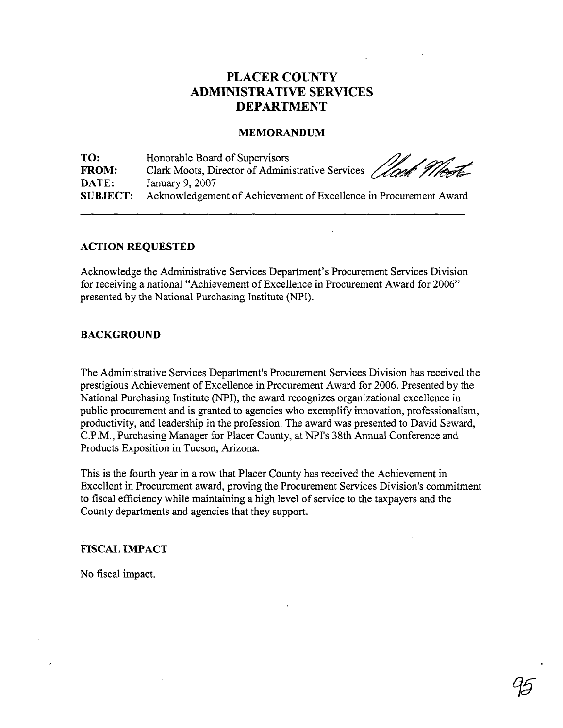# **PLACER COUNTY ADMINISTRATIVE SERVICES DEPARTMENT**

### **MEMORANDUM**

**TO:** Honorable Board of Supervisors FROM: Clark Moots, Director of Administrative Services *(Ione Theod* January 9, 2007 **SUBJECT:** Acknowledgement of Achievement of Excellence in Procurement Award

### **ACTION REQUESTED**

Acknowledge the Administrative Services Department's Procurement Services Division for receiving a national "Achievement of Excellence in Procurement Award for 2006" presented by the National Purchasing Institute (NPI).

#### **BACKGROUND**

The Administrative Services Department's Procurement Services Division has received the prestigious Achievement of Excellence in Procurement Award for 2006. Presented by the National Purchasing Institute (NPI), the award recognizes organizational excellence in public procurement and is granted to agencies who exemplify innovation, professionalism, productivity, and leadership in the profession. The award was presented to David Seward, C.P.M., Purchasing Manager for Placer County, at NPI's 38th Annual Conference and Products Exposition in Tucson, Arizona.

This is the fourth year in a row that Placer County has received the Achievement in Excellent in Procurement award, proving the Procurement Services Division's commitment to fiscal efficiency while maintaining a high level of service to the taxpayers and the County departments and agencies that they support.

## **FISCAL IMPACT**

No fiscal impact.